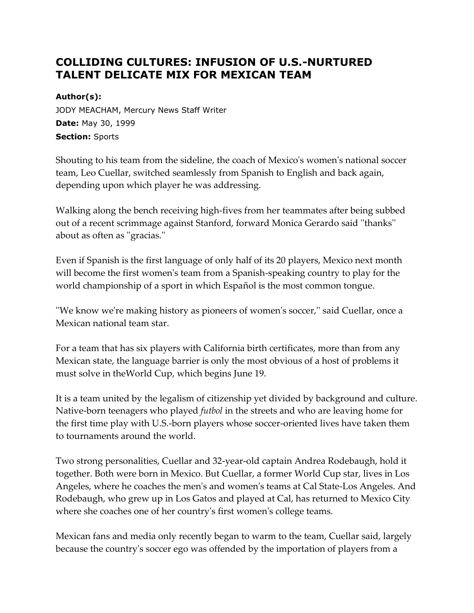# **COLLIDING CULTURES: INFUSION OF U.S.-NURTURED TALENT DELICATE MIX FOR MEXICAN TEAM**

#### **Author(s):**

JODY MEACHAM, Mercury News Staff Writer **Date:** May 30, 1999 **Section:** Sports

Shouting to his team from the sideline, the coach of Mexico's women's national soccer team, Leo Cuellar, switched seamlessly from Spanish to English and back again, depending upon which player he was addressing.

Walking along the bench receiving high-fives from her teammates after being subbed out of a recent scrimmage against Stanford, forward Monica Gerardo said ''thanks'' about as often as ''gracias.''

Even if Spanish is the first language of only half of its 20 players, Mexico next month will become the first women's team from a Spanish-speaking country to play for the world championship of a sport in which Español is the most common tongue.

''We know we're making history as pioneers of women's soccer,'' said Cuellar, once a Mexican national team star.

For a team that has six players with California birth certificates, more than from any Mexican state, the language barrier is only the most obvious of a host of problems it must solve in theWorld Cup, which begins June 19.

It is a team united by the legalism of citizenship yet divided by background and culture. Native-born teenagers who played *futbol* in the streets and who are leaving home for the first time play with U.S.-born players whose soccer-oriented lives have taken them to tournaments around the world.

Two strong personalities, Cuellar and 32-year-old captain Andrea Rodebaugh, hold it together. Both were born in Mexico. But Cuellar, a former World Cup star, lives in Los Angeles, where he coaches the men's and women's teams at Cal State-Los Angeles. And Rodebaugh, who grew up in Los Gatos and played at Cal, has returned to Mexico City where she coaches one of her country's first women's college teams.

Mexican fans and media only recently began to warm to the team, Cuellar said, largely because the country's soccer ego was offended by the importation of players from a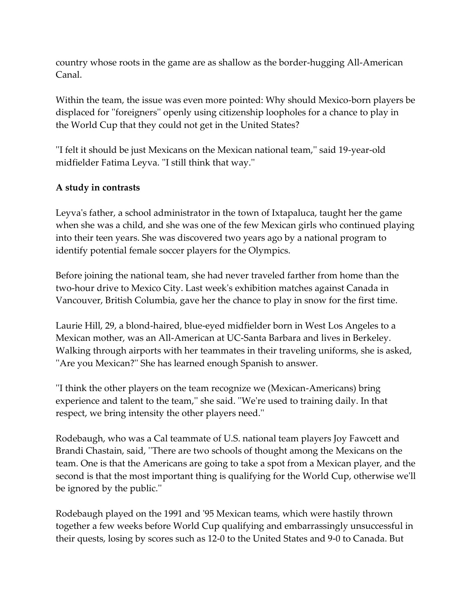country whose roots in the game are as shallow as the border-hugging All-American Canal.

Within the team, the issue was even more pointed: Why should Mexico-born players be displaced for ''foreigners'' openly using citizenship loopholes for a chance to play in the World Cup that they could not get in the United States?

''I felt it should be just Mexicans on the Mexican national team,'' said 19-year-old midfielder Fatima Leyva. ''I still think that way.''

## **A study in contrasts**

Leyva's father, a school administrator in the town of Ixtapaluca, taught her the game when she was a child, and she was one of the few Mexican girls who continued playing into their teen years. She was discovered two years ago by a national program to identify potential female soccer players for the Olympics.

Before joining the national team, she had never traveled farther from home than the two-hour drive to Mexico City. Last week's exhibition matches against Canada in Vancouver, British Columbia, gave her the chance to play in snow for the first time.

Laurie Hill, 29, a blond-haired, blue-eyed midfielder born in West Los Angeles to a Mexican mother, was an All-American at UC-Santa Barbara and lives in Berkeley. Walking through airports with her teammates in their traveling uniforms, she is asked, "Are you Mexican?" She has learned enough Spanish to answer.

''I think the other players on the team recognize we (Mexican-Americans) bring experience and talent to the team,'' she said. ''We're used to training daily. In that respect, we bring intensity the other players need.''

Rodebaugh, who was a Cal teammate of U.S. national team players Joy Fawcett and Brandi Chastain, said, ''There are two schools of thought among the Mexicans on the team. One is that the Americans are going to take a spot from a Mexican player, and the second is that the most important thing is qualifying for the World Cup, otherwise we'll be ignored by the public.''

Rodebaugh played on the 1991 and '95 Mexican teams, which were hastily thrown together a few weeks before World Cup qualifying and embarrassingly unsuccessful in their quests, losing by scores such as 12-0 to the United States and 9-0 to Canada. But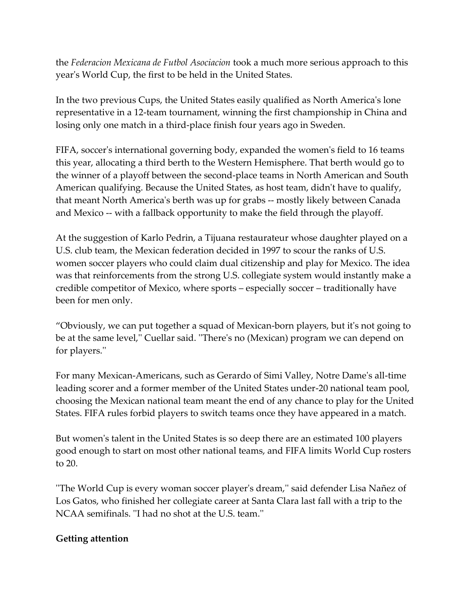the *Federacion Mexicana de Futbol Asociacion* took a much more serious approach to this year's World Cup, the first to be held in the United States.

In the two previous Cups, the United States easily qualified as North America's lone representative in a 12-team tournament, winning the first championship in China and losing only one match in a third-place finish four years ago in Sweden.

FIFA, soccer's international governing body, expanded the women's field to 16 teams this year, allocating a third berth to the Western Hemisphere. That berth would go to the winner of a playoff between the second-place teams in North American and South American qualifying. Because the United States, as host team, didn't have to qualify, that meant North America's berth was up for grabs -- mostly likely between Canada and Mexico -- with a fallback opportunity to make the field through the playoff.

At the suggestion of Karlo Pedrin, a Tijuana restaurateur whose daughter played on a U.S. club team, the Mexican federation decided in 1997 to scour the ranks of U.S. women soccer players who could claim dual citizenship and play for Mexico. The idea was that reinforcements from the strong U.S. collegiate system would instantly make a credible competitor of Mexico, where sports – especially soccer – traditionally have been for men only.

"Obviously, we can put together a squad of Mexican-born players, but it's not going to be at the same level,'' Cuellar said. ''There's no (Mexican) program we can depend on for players.''

For many Mexican-Americans, such as Gerardo of Simi Valley, Notre Dame's all-time leading scorer and a former member of the United States under-20 national team pool, choosing the Mexican national team meant the end of any chance to play for the United States. FIFA rules forbid players to switch teams once they have appeared in a match.

But women's talent in the United States is so deep there are an estimated 100 players good enough to start on most other national teams, and FIFA limits World Cup rosters to 20.

''The World Cup is every woman soccer player's dream,'' said defender Lisa Nañez of Los Gatos, who finished her collegiate career at Santa Clara last fall with a trip to the NCAA semifinals. ''I had no shot at the U.S. team.''

#### **Getting attention**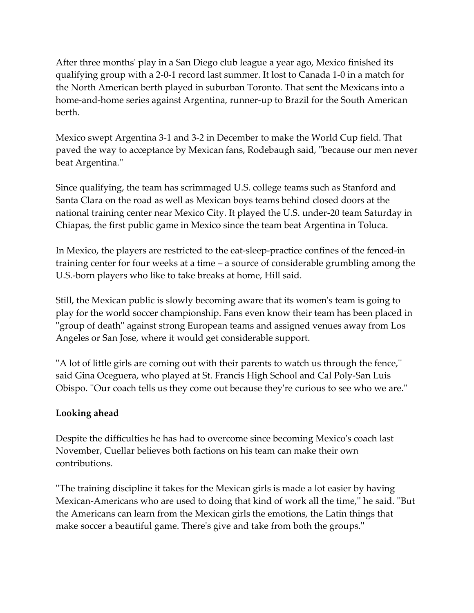After three months' play in a San Diego club league a year ago, Mexico finished its qualifying group with a 2-0-1 record last summer. It lost to Canada 1-0 in a match for the North American berth played in suburban Toronto. That sent the Mexicans into a home-and-home series against Argentina, runner-up to Brazil for the South American berth.

Mexico swept Argentina 3-1 and 3-2 in December to make the World Cup field. That paved the way to acceptance by Mexican fans, Rodebaugh said, ''because our men never beat Argentina.''

Since qualifying, the team has scrimmaged U.S. college teams such as Stanford and Santa Clara on the road as well as Mexican boys teams behind closed doors at the national training center near Mexico City. It played the U.S. under-20 team Saturday in Chiapas, the first public game in Mexico since the team beat Argentina in Toluca.

In Mexico, the players are restricted to the eat-sleep-practice confines of the fenced-in training center for four weeks at a time – a source of considerable grumbling among the U.S.-born players who like to take breaks at home, Hill said.

Still, the Mexican public is slowly becoming aware that its women's team is going to play for the world soccer championship. Fans even know their team has been placed in ''group of death'' against strong European teams and assigned venues away from Los Angeles or San Jose, where it would get considerable support.

''A lot of little girls are coming out with their parents to watch us through the fence,'' said Gina Oceguera, who played at St. Francis High School and Cal Poly-San Luis Obispo. ''Our coach tells us they come out because they're curious to see who we are.''

## **Looking ahead**

Despite the difficulties he has had to overcome since becoming Mexico's coach last November, Cuellar believes both factions on his team can make their own contributions.

''The training discipline it takes for the Mexican girls is made a lot easier by having Mexican-Americans who are used to doing that kind of work all the time,'' he said. ''But the Americans can learn from the Mexican girls the emotions, the Latin things that make soccer a beautiful game. There's give and take from both the groups.''